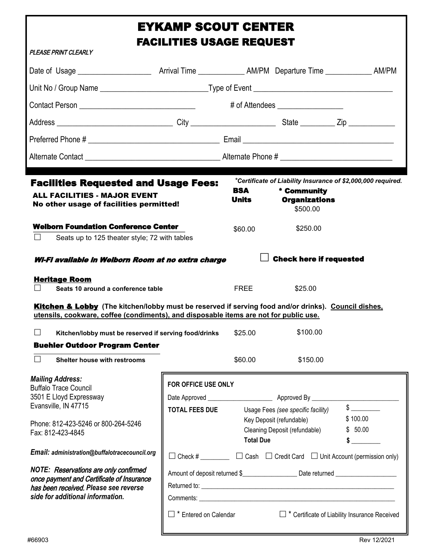# EYKAMP SCOUT CENTER FACILITIES USAGE REQUEST

| PLEASE PRINT CLEARLY                                                                                                                                                                                                                                                                                                                                                                       | FAUILI I IES USAUE KEQUES I                  |                                |                                                                                                 |                                                                                                                                                                                                                                                           |
|--------------------------------------------------------------------------------------------------------------------------------------------------------------------------------------------------------------------------------------------------------------------------------------------------------------------------------------------------------------------------------------------|----------------------------------------------|--------------------------------|-------------------------------------------------------------------------------------------------|-----------------------------------------------------------------------------------------------------------------------------------------------------------------------------------------------------------------------------------------------------------|
|                                                                                                                                                                                                                                                                                                                                                                                            |                                              |                                |                                                                                                 |                                                                                                                                                                                                                                                           |
|                                                                                                                                                                                                                                                                                                                                                                                            |                                              |                                |                                                                                                 |                                                                                                                                                                                                                                                           |
|                                                                                                                                                                                                                                                                                                                                                                                            |                                              |                                | # of Attendees __________________                                                               |                                                                                                                                                                                                                                                           |
|                                                                                                                                                                                                                                                                                                                                                                                            |                                              |                                |                                                                                                 |                                                                                                                                                                                                                                                           |
|                                                                                                                                                                                                                                                                                                                                                                                            |                                              |                                |                                                                                                 |                                                                                                                                                                                                                                                           |
|                                                                                                                                                                                                                                                                                                                                                                                            |                                              |                                |                                                                                                 |                                                                                                                                                                                                                                                           |
| <b>Facilities Requested and Usage Fees:</b><br><b>ALL FACILITIES - MAJOR EVENT</b><br>No other usage of facilities permitted!<br><b>Welborn Foundation Conference Center</b><br>$\Box$<br>Seats up to 125 theater style; 72 with tables                                                                                                                                                    |                                              | <b>BSA</b><br>Units<br>\$60.00 | * Community<br><b>Organizations</b><br>\$500.00<br>\$250.00                                     | *Certificate of Liability Insurance of \$2,000,000 required.                                                                                                                                                                                              |
| Wi-Fi available in Welborn Room at no extra charge<br><b>Heritage Room</b><br>Seats 10 around a conference table<br>$\Box$<br>Kitchen & Lobby (The kitchen/lobby must be reserved if serving food and/or drinks). Council dishes,<br>utensils, cookware, coffee (condiments), and disposable items are not for public use.                                                                 |                                              | FREE                           | <b>Check here if requested</b><br>\$25.00                                                       |                                                                                                                                                                                                                                                           |
| $\Box$<br>Kitchen/lobby must be reserved if serving food/drinks                                                                                                                                                                                                                                                                                                                            |                                              | \$25.00                        | \$100.00                                                                                        |                                                                                                                                                                                                                                                           |
| <b>Buehler Outdoor Program Center</b><br>$\Box$ Shelter house with restrooms                                                                                                                                                                                                                                                                                                               |                                              | \$60.00                        | \$150.00                                                                                        |                                                                                                                                                                                                                                                           |
| <b>Mailing Address:</b><br><b>Buffalo Trace Council</b><br>3501 E Lloyd Expressway<br>Evansville, IN 47715<br>Phone: 812-423-5246 or 800-264-5246<br>Fax: 812-423-4845<br>Email: administration@buffalotracecouncil.org<br>NOTE: Reservations are only confirmed<br>once payment and Certificate of Insurance<br>has been received. Please see reverse<br>side for additional information. | FOR OFFICE USE ONLY<br><b>TOTAL FEES DUE</b> | <b>Total Due</b>               | Usage Fees (see specific facility)<br>Key Deposit (refundable)<br>Cleaning Deposit (refundable) | $\frac{1}{2}$<br>\$100.00<br>\$50.00<br>$\sim$<br>$\Box$ Check # __________ $\Box$ Cash $\Box$ Credit Card $\Box$ Unit Account (permission only)<br>Amount of deposit returned \$_________________________ Date returned ________________________________ |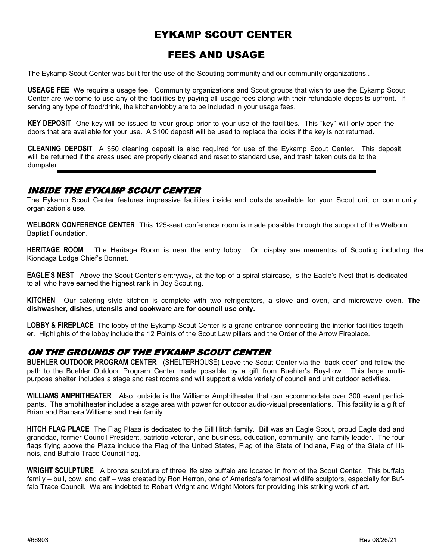### EYKAMP SCOUT CENTER

### FEES AND USAGE

The Eykamp Scout Center was built for the use of the Scouting community and our community organizations..

**USEAGE FEE** We require a usage fee. Community organizations and Scout groups that wish to use the Eykamp Scout Center are welcome to use any of the facilities by paying all usage fees along with their refundable deposits upfront. If serving any type of food/drink, the kitchen/lobby are to be included in your usage fees.

**KEY DEPOSIT** One key will be issued to your group prior to your use of the facilities. This "key" will only open the doors that are available for your use. A \$100 deposit will be used to replace the locks if the key is not returned.

**CLEANING DEPOSIT** A \$50 cleaning deposit is also required for use of the Eykamp Scout Center. This deposit will be returned if the areas used are properly cleaned and reset to standard use, and trash taken outside to the dumpster.

### INSIDE THE EYKAMP SCOUT CENTER

The Eykamp Scout Center features impressive facilities inside and outside available for your Scout unit or community organization's use.

**WELBORN CONFERENCE CENTER** This 125-seat conference room is made possible through the support of the Welborn Baptist Foundation.

**HERITAGE ROOM** The Heritage Room is near the entry lobby. On display are mementos of Scouting including the Kiondaga Lodge Chief's Bonnet.

**EAGLE'S NEST** Above the Scout Center's entryway, at the top of a spiral staircase, is the Eagle's Nest that is dedicated to all who have earned the highest rank in Boy Scouting.

**KITCHEN** Our catering style kitchen is complete with two refrigerators, a stove and oven, and microwave oven. **The dishwasher, dishes, utensils and cookware are for council use only.**

**LOBBY & FIREPLACE** The lobby of the Eykamp Scout Center is a grand entrance connecting the interior facilities together. Highlights of the lobby include the 12 Points of the Scout Law pillars and the Order of the Arrow Fireplace.

### ON THE GROUNDS OF THE EYKAMP SCOUT CENTER

**BUEHLER OUTDOOR PROGRAM CENTER** (SHELTERHOUSE) Leave the Scout Center via the "back door" and follow the path to the Buehler Outdoor Program Center made possible by a gift from Buehler's Buy-Low. This large multipurpose shelter includes a stage and rest rooms and will support a wide variety of council and unit outdoor activities.

**WILLIAMS AMPHITHEATER** Also, outside is the Williams Amphitheater that can accommodate over 300 event participants. The amphitheater includes a stage area with power for outdoor audio-visual presentations. This facility is a gift of Brian and Barbara Williams and their family.

**HITCH FLAG PLACE** The Flag Plaza is dedicated to the Bill Hitch family. Bill was an Eagle Scout, proud Eagle dad and granddad, former Council President, patriotic veteran, and business, education, community, and family leader. The four flags flying above the Plaza include the Flag of the United States, Flag of the State of Indiana, Flag of the State of Illinois, and Buffalo Trace Council flag.

**WRIGHT SCULPTURE** A bronze sculpture of three life size buffalo are located in front of the Scout Center. This buffalo family – bull, cow, and calf – was created by Ron Herron, one of America's foremost wildlife sculptors, especially for Buffalo Trace Council. We are indebted to Robert Wright and Wright Motors for providing this striking work of art.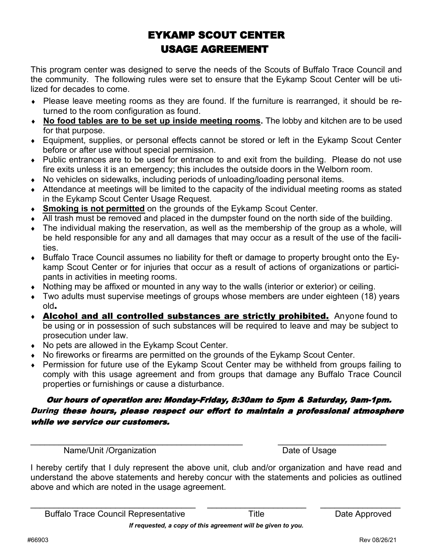## EYKAMP SCOUT CENTER USAGE AGREEMENT

This program center was designed to serve the needs of the Scouts of Buffalo Trace Council and the community. The following rules were set to ensure that the Eykamp Scout Center will be utilized for decades to come.

- Please leave meeting rooms as they are found. If the furniture is rearranged, it should be returned to the room configuration as found.
- **No food tables are to be set up inside meeting rooms.** The lobby and kitchen are to be used for that purpose.
- Equipment, supplies, or personal effects cannot be stored or left in the Eykamp Scout Center before or after use without special permission.
- Public entrances are to be used for entrance to and exit from the building. Please do not use fire exits unless it is an emergency; this includes the outside doors in the Welborn room.
- No vehicles on sidewalks, including periods of unloading/loading personal items.
- Attendance at meetings will be limited to the capacity of the individual meeting rooms as stated in the Eykamp Scout Center Usage Request.
- **Smoking is not permitted** on the grounds of the Eykamp Scout Center.
- $\overline{\phantom{a}}$  All trash must be removed and placed in the dumpster found on the north side of the building.
- The individual making the reservation, as well as the membership of the group as a whole, will be held responsible for any and all damages that may occur as a result of the use of the facilities.
- Buffalo Trace Council assumes no liability for theft or damage to property brought onto the Eykamp Scout Center or for injuries that occur as a result of actions of organizations or participants in activities in meeting rooms.
- Nothing may be affixed or mounted in any way to the walls (interior or exterior) or ceiling.
- Two adults must supervise meetings of groups whose members are under eighteen (18) years old.
- **Alcohol and all controlled substances are strictly prohibited.** Anyone found to be using or in possession of such substances will be required to leave and may be subject to prosecution under law.
- No pets are allowed in the Eykamp Scout Center.
- No fireworks or firearms are permitted on the grounds of the Eykamp Scout Center.
- Permission for future use of the Eykamp Scout Center may be withheld from groups failing to comply with this usage agreement and from groups that damage any Buffalo Trace Council properties or furnishings or cause a disturbance.

### Our hours of operation are: Monday-Friday, 8:30am to 5pm & Saturday, 9am-1pm. During these hours, please respect our effort to maintain a professional atmosphere while we service our customers.

 $\_$  , and the contribution of the contribution of  $\mathcal{L}_\mathcal{A}$  , and the contribution of  $\mathcal{L}_\mathcal{A}$ 

Name/Unit /Organization Date of Usage

I hereby certify that I duly represent the above unit, club and/or organization and have read and understand the above statements and hereby concur with the statements and policies as outlined above and which are noted in the usage agreement.

*If requested, a copy of this agreement will be given to you.*

\_\_\_\_\_\_\_\_\_\_\_\_\_\_\_\_\_\_\_\_\_\_\_\_\_\_\_\_\_\_\_\_\_\_\_ \_\_\_\_\_\_\_\_\_\_\_\_\_\_\_\_\_\_\_\_\_ \_\_\_\_\_\_\_\_\_\_\_\_\_\_\_\_\_